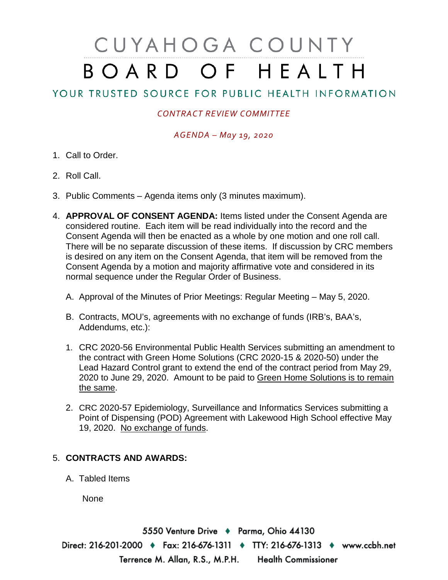# CUYAHOGA COUNTY BOARD OF HEALTH

# YOUR TRUSTED SOURCE FOR PUBLIC HEALTH INFORMATION

## *CONTRACT REVIEW COMMITTEE*

### *AGENDA – May 19, 2020*

- 1. Call to Order.
- 2. Roll Call.
- 3. Public Comments Agenda items only (3 minutes maximum).
- 4. **APPROVAL OF CONSENT AGENDA:** Items listed under the Consent Agenda are considered routine. Each item will be read individually into the record and the Consent Agenda will then be enacted as a whole by one motion and one roll call. There will be no separate discussion of these items. If discussion by CRC members is desired on any item on the Consent Agenda, that item will be removed from the Consent Agenda by a motion and majority affirmative vote and considered in its normal sequence under the Regular Order of Business.
	- A. Approval of the Minutes of Prior Meetings: Regular Meeting May 5, 2020.
	- B. Contracts, MOU's, agreements with no exchange of funds (IRB's, BAA's, Addendums, etc.):
	- 1. CRC 2020-56 Environmental Public Health Services submitting an amendment to the contract with Green Home Solutions (CRC 2020-15 & 2020-50) under the Lead Hazard Control grant to extend the end of the contract period from May 29, 2020 to June 29, 2020. Amount to be paid to Green Home Solutions is to remain the same.
	- 2. CRC 2020-57 Epidemiology, Surveillance and Informatics Services submitting a Point of Dispensing (POD) Agreement with Lakewood High School effective May 19, 2020. No exchange of funds.

### 5. **CONTRACTS AND AWARDS:**

A. Tabled Items

None

5550 Venture Drive + Parma, Ohio 44130 Direct: 216-201-2000 ♦ Fax: 216-676-1311 ♦ TTY: 216-676-1313 ♦ www.ccbh.net Terrence M. Allan, R.S., M.P.H. Health Commissioner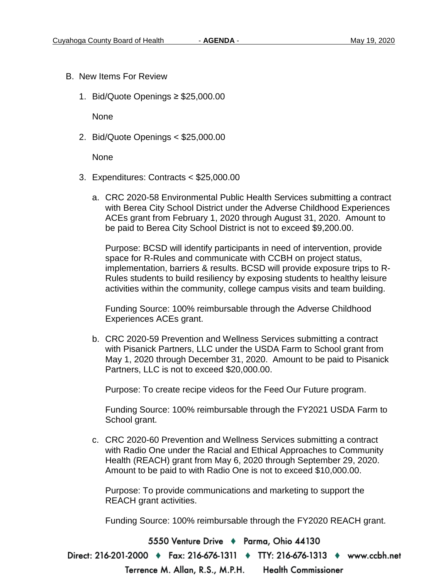- B. New Items For Review
	- 1. Bid/Quote Openings ≥ \$25,000.00

None

2. Bid/Quote Openings < \$25,000.00

None

- 3. Expenditures: Contracts < \$25,000.00
	- a. CRC 2020-58 Environmental Public Health Services submitting a contract with Berea City School District under the Adverse Childhood Experiences ACEs grant from February 1, 2020 through August 31, 2020. Amount to be paid to Berea City School District is not to exceed \$9,200.00.

Purpose: BCSD will identify participants in need of intervention, provide space for R-Rules and communicate with CCBH on project status, implementation, barriers & results. BCSD will provide exposure trips to R-Rules students to build resiliency by exposing students to healthy leisure activities within the community, college campus visits and team building.

Funding Source: 100% reimbursable through the Adverse Childhood Experiences ACEs grant.

b. CRC 2020-59 Prevention and Wellness Services submitting a contract with Pisanick Partners, LLC under the USDA Farm to School grant from May 1, 2020 through December 31, 2020. Amount to be paid to Pisanick Partners, LLC is not to exceed \$20,000.00.

Purpose: To create recipe videos for the Feed Our Future program.

Funding Source: 100% reimbursable through the FY2021 USDA Farm to School grant.

c. CRC 2020-60 Prevention and Wellness Services submitting a contract with Radio One under the Racial and Ethical Approaches to Community Health (REACH) grant from May 6, 2020 through September 29, 2020. Amount to be paid to with Radio One is not to exceed \$10,000.00.

Purpose: To provide communications and marketing to support the REACH grant activities.

Funding Source: 100% reimbursable through the FY2020 REACH grant.

5550 Venture Drive + Parma, Ohio 44130

Direct: 216-201-2000 ♦ Fax: 216-676-1311 ♦ TTY: 216-676-1313 ♦ www.ccbh.net

Terrence M. Allan, R.S., M.P.H. **Health Commissioner**